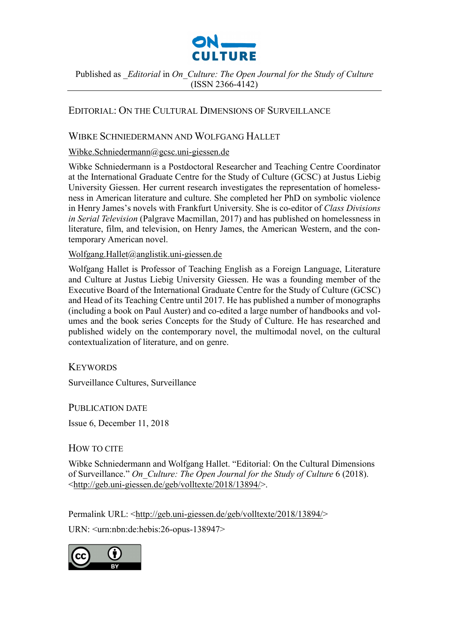

Published as *\_Editorial* in *On\_Culture: The Open Journal for the Study of Culture*  (ISSN 2366-4142)

## EDITORIAL: ON THE CULTURAL DIMENSIONS OF SURVEILLANCE

### WIBKE SCHNIEDERMANN AND WOLFGANG HALLET

#### [Wibke.Schniedermann@gcsc.uni-giessen.de](mailto:Wibke.Schniedermann@gcsc.uni-giessen.de)

Wibke Schniedermann is a Postdoctoral Researcher and Teaching Centre Coordinator at the International Graduate Centre for the Study of Culture (GCSC) at Justus Liebig University Giessen. Her current research investigates the representation of homelessness in American literature and culture. She completed her PhD on symbolic violence in Henry James's novels with Frankfurt University. She is co-editor of *Class Divisions in Serial Television* (Palgrave Macmillan, 2017) and has published on homelessness in literature, film, and television, on Henry James, the American Western, and the contemporary American novel.

#### [Wolfgang.Hallet@anglistik.uni-giessen.de](mailto:Wolfgang.Hallet@anglistik.uni-giessen.de?subject=On_Culture%206:%20Editorial)

Wolfgang Hallet is Professor of Teaching English as a Foreign Language, Literature and Culture at Justus Liebig University Giessen. He was a founding member of the Executive Board of the International Graduate Centre for the Study of Culture (GCSC) and Head of its Teaching Centre until 2017. He has published a number of monographs (including a book on Paul Auster) and co-edited a large number of handbooks and volumes and the book series Concepts for the Study of Culture. He has researched and published widely on the contemporary novel, the multimodal novel, on the cultural contextualization of literature, and on genre.

**KEYWORDS** 

Surveillance Cultures, Surveillance

PUBLICATION DATE

Issue 6, December 11, 2018

HOW TO CITE

Wibke Schniedermann and Wolfgang Hallet. "Editorial: On the Cultural Dimensions of Surveillance." *On\_Culture: The Open Journal for the Study of Culture* 6 (2018). [<http://geb.uni-giessen.de/geb/volltexte/2018/13894/>](http://geb.uni-giessen.de/geb/volltexte/2018/13894/).

Permalink URL: [<http://geb.uni-giessen.de/geb/volltexte/2018/13894/>](http://geb.uni-giessen.de/geb/volltexte/2018/13894/)

URN: <urn:nbn:de:hebis:26-opus-138947>

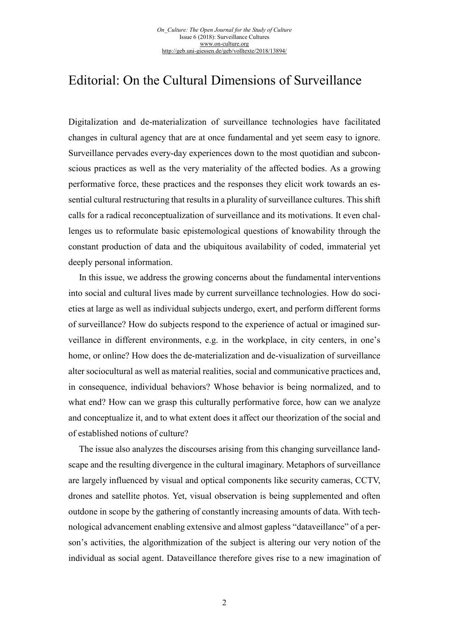# Editorial: On the Cultural Dimensions of Surveillance

Digitalization and de-materialization of surveillance technologies have facilitated changes in cultural agency that are at once fundamental and yet seem easy to ignore. Surveillance pervades every-day experiences down to the most quotidian and subconscious practices as well as the very materiality of the affected bodies. As a growing performative force, these practices and the responses they elicit work towards an essential cultural restructuring that results in a plurality of surveillance cultures. This shift calls for a radical reconceptualization of surveillance and its motivations. It even challenges us to reformulate basic epistemological questions of knowability through the constant production of data and the ubiquitous availability of coded, immaterial yet deeply personal information.

In this issue, we address the growing concerns about the fundamental interventions into social and cultural lives made by current surveillance technologies. How do societies at large as well as individual subjects undergo, exert, and perform different forms of surveillance? How do subjects respond to the experience of actual or imagined surveillance in different environments, e.g. in the workplace, in city centers, in one's home, or online? How does the de-materialization and de-visualization of surveillance alter sociocultural as well as material realities, social and communicative practices and, in consequence, individual behaviors? Whose behavior is being normalized, and to what end? How can we grasp this culturally performative force, how can we analyze and conceptualize it, and to what extent does it affect our theorization of the social and of established notions of culture?

The issue also analyzes the discourses arising from this changing surveillance landscape and the resulting divergence in the cultural imaginary. Metaphors of surveillance are largely influenced by visual and optical components like security cameras, CCTV, drones and satellite photos. Yet, visual observation is being supplemented and often outdone in scope by the gathering of constantly increasing amounts of data. With technological advancement enabling extensive and almost gapless "dataveillance" of a person's activities, the algorithmization of the subject is altering our very notion of the individual as social agent. Dataveillance therefore gives rise to a new imagination of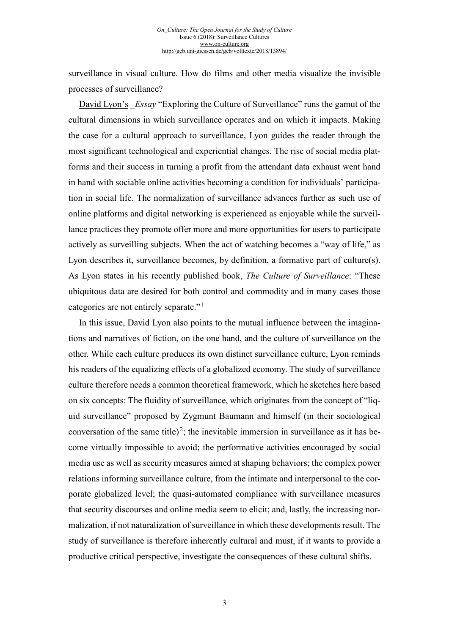surveillance in visual culture. How do films and other media visualize the invisible processes of surveillance?

David [Lyon's](http://geb.uni-giessen.de/geb/volltexte/2018/13899/) *Essay* "Exploring the Culture of Surveillance" runs the gamut of the cultural dimensions in which surveillance operates and on which it impacts. Making the case for a cultural approach to surveillance, Lyon guides the reader through the most significant technological and experiential changes. The rise of social media platforms and their success in turning a profit from the attendant data exhaust went hand in hand with sociable online activities becoming a condition for individuals' participation in social life. The normalization of surveillance advances further as such use of online platforms and digital networking is experienced as enjoyable while the surveillance practices they promote offer more and more opportunities for users to participate actively as surveilling subjects. When the act of watching becomes a "way of life," as Lyon describes it, surveillance becomes, by definition, a formative part of culture(s). As Lyon states in his recently published book, *The Culture of Surveillance*: "These ubiquitous data are desired for both control and commodity and in many cases those categories are not entirely separate."<sup>[1](#page-5-0)</sup>

In this issue, David Lyon also points to the mutual influence between the imaginations and narratives of fiction, on the one hand, and the culture of surveillance on the other. While each culture produces its own distinct surveillance culture, Lyon reminds his readers of the equalizing effects of a globalized economy. The study of surveillance culture therefore needs a common theoretical framework, which he sketches here based on six concepts: The fluidity of surveillance, which originates from the concept of "liquid surveillance" proposed by Zygmunt Baumann and himself (in their sociological conversation of the same title)<sup>[2](#page-5-1)</sup>; the inevitable immersion in surveillance as it has become virtually impossible to avoid; the performative activities encouraged by social media use as well as security measures aimed at shaping behaviors; the complex power relations informing surveillance culture, from the intimate and interpersonal to the corporate globalized level; the quasi-automated compliance with surveillance measures that security discourses and online media seem to elicit; and, lastly, the increasing normalization, if not naturalization of surveillance in which these developments result. The study of surveillance is therefore inherently cultural and must, if it wants to provide a productive critical perspective, investigate the consequences of these cultural shifts.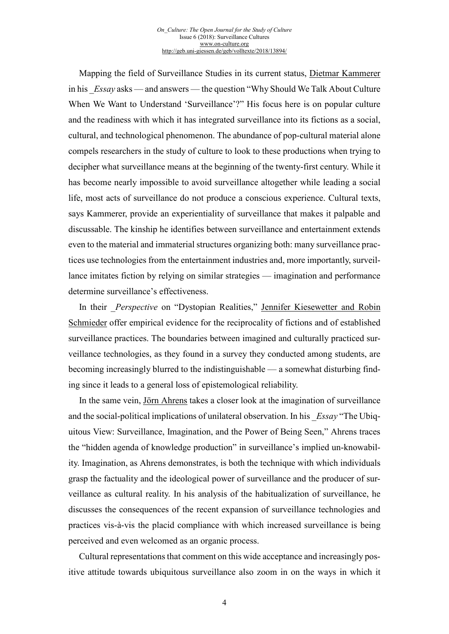Mapping the field of Surveillance Studies in its current status, Dietmar [Kammerer](http://geb.uni-giessen.de/geb/volltexte/2018/13900/) in his \_*Essay* asks — and answers — the question "Why Should We Talk About Culture When We Want to Understand 'Surveillance'?" His focus here is on popular culture and the readiness with which it has integrated surveillance into its fictions as a social, cultural, and technological phenomenon. The abundance of pop-cultural material alone compels researchers in the study of culture to look to these productions when trying to decipher what surveillance means at the beginning of the twenty-first century. While it has become nearly impossible to avoid surveillance altogether while leading a social life, most acts of surveillance do not produce a conscious experience. Cultural texts, says Kammerer, provide an experientiality of surveillance that makes it palpable and discussable. The kinship he identifies between surveillance and entertainment extends even to the material and immaterial structures organizing both: many surveillance practices use technologies from the entertainment industries and, more importantly, surveillance imitates fiction by relying on similar strategies — imagination and performance determine surveillance's effectiveness.

In their *Perspective* on "Dystopian Realities," Jennifer [Kiesewetter](http://geb.uni-giessen.de/geb/volltexte/2018/13902/) and Robin [Schmieder](http://geb.uni-giessen.de/geb/volltexte/2018/13902/) offer empirical evidence for the reciprocality of fictions and of established surveillance practices. The boundaries between imagined and culturally practiced surveillance technologies, as they found in a survey they conducted among students, are becoming increasingly blurred to the indistinguishable — a somewhat disturbing finding since it leads to a general loss of epistemological reliability.

In the same vein, [Jörn Ahrens](http://geb.uni-giessen.de/geb/volltexte/2018/13901/) takes a closer look at the imagination of surveillance and the social-political implications of unilateral observation. In his \_*Essay* "The Ubiquitous View: Surveillance, Imagination, and the Power of Being Seen," Ahrens traces the "hidden agenda of knowledge production" in surveillance's implied un-knowability. Imagination, as Ahrens demonstrates, is both the technique with which individuals grasp the factuality and the ideological power of surveillance and the producer of surveillance as cultural reality. In his analysis of the habitualization of surveillance, he discusses the consequences of the recent expansion of surveillance technologies and practices vis-à-vis the placid compliance with which increased surveillance is being perceived and even welcomed as an organic process.

Cultural representations that comment on this wide acceptance and increasingly positive attitude towards ubiquitous surveillance also zoom in on the ways in which it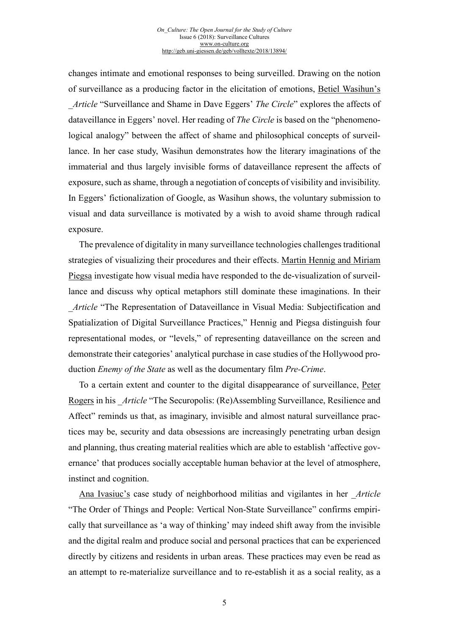changes intimate and emotional responses to being surveilled. Drawing on the notion of surveillance as a producing factor in the elicitation of emotions, [Betiel Wasihun's](http://geb.uni-giessen.de/geb/volltexte/2018/13898/) \_*Article* "Surveillance and Shame in Dave Eggers' *The Circle*" explores the affects of dataveillance in Eggers' novel. Her reading of *The Circle* is based on the "phenomenological analogy" between the affect of shame and philosophical concepts of surveillance. In her case study, Wasihun demonstrates how the literary imaginations of the immaterial and thus largely invisible forms of dataveillance represent the affects of exposure, such as shame, through a negotiation of concepts of visibility and invisibility. In Eggers' fictionalization of Google, as Wasihun shows, the voluntary submission to visual and data surveillance is motivated by a wish to avoid shame through radical exposure.

The prevalence of digitality in many surveillance technologies challenges traditional strategies of visualizing their procedures and their effects. [Martin Hennig and Miriam](http://geb.uni-giessen.de/geb/volltexte/2018/13895/) [Piegsa](http://geb.uni-giessen.de/geb/volltexte/2018/13895/) investigate how visual media have responded to the de-visualization of surveillance and discuss why optical metaphors still dominate these imaginations. In their \_*Article* "The Representation of Dataveillance in Visual Media: Subjectification and Spatialization of Digital Surveillance Practices," Hennig and Piegsa distinguish four representational modes, or "levels," of representing dataveillance on the screen and demonstrate their categories' analytical purchase in case studies of the Hollywood production *Enemy of the State* as well as the documentary film *Pre-Crime*.

To a certain extent and counter to the digital disappearance of surveillance, [Peter](http://geb.uni-giessen.de/geb/volltexte/2018/13897/) [Rogers](http://geb.uni-giessen.de/geb/volltexte/2018/13897/) in his \_*Article* "The Securopolis: (Re)Assembling Surveillance, Resilience and Affect" reminds us that, as imaginary, invisible and almost natural surveillance practices may be, security and data obsessions are increasingly penetrating urban design and planning, thus creating material realities which are able to establish 'affective governance' that produces socially acceptable human behavior at the level of atmosphere, instinct and cognition.

[Ana Ivasiuc's](http://geb.uni-giessen.de/geb/volltexte/2018/13896/) case study of neighborhood militias and vigilantes in her \_*Article* "The Order of Things and People: Vertical Non-State Surveillance" confirms empirically that surveillance as 'a way of thinking' may indeed shift away from the invisible and the digital realm and produce social and personal practices that can be experienced directly by citizens and residents in urban areas. These practices may even be read as an attempt to re-materialize surveillance and to re-establish it as a social reality, as a